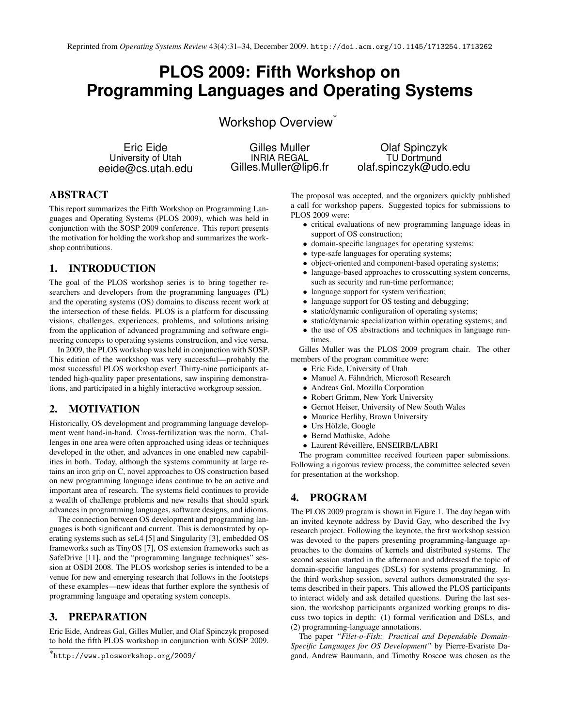# **PLOS 2009: Fifth Workshop on Programming Languages and Operating Systems**

Workshop Overview<sup>\*</sup>

Eric Eide University of Utah eeide@cs.utah.edu

Gilles Muller INRIA REGAL Gilles.Muller@lip6.fr

Olaf Spinczyk TU Dortmund olaf.spinczyk@udo.edu

# ABSTRACT

This report summarizes the Fifth Workshop on Programming Languages and Operating Systems (PLOS 2009), which was held in conjunction with the SOSP 2009 conference. This report presents the motivation for holding the workshop and summarizes the workshop contributions.

#### 1. INTRODUCTION

The goal of the PLOS workshop series is to bring together researchers and developers from the programming languages (PL) and the operating systems (OS) domains to discuss recent work at the intersection of these fields. PLOS is a platform for discussing visions, challenges, experiences, problems, and solutions arising from the application of advanced programming and software engineering concepts to operating systems construction, and vice versa.

In 2009, the PLOS workshop was held in conjunction with SOSP. This edition of the workshop was very successful—probably the most successful PLOS workshop ever! Thirty-nine participants attended high-quality paper presentations, saw inspiring demonstrations, and participated in a highly interactive workgroup session.

#### 2. MOTIVATION

Historically, OS development and programming language development went hand-in-hand. Cross-fertilization was the norm. Challenges in one area were often approached using ideas or techniques developed in the other, and advances in one enabled new capabilities in both. Today, although the systems community at large retains an iron grip on C, novel approaches to OS construction based on new programming language ideas continue to be an active and important area of research. The systems field continues to provide a wealth of challenge problems and new results that should spark advances in programming languages, software designs, and idioms.

The connection between OS development and programming languages is both significant and current. This is demonstrated by operating systems such as seL4 [5] and Singularity [3], embedded OS frameworks such as TinyOS [7], OS extension frameworks such as SafeDrive [11], and the "programming language techniques" session at OSDI 2008. The PLOS workshop series is intended to be a venue for new and emerging research that follows in the footsteps of these examples—new ideas that further explore the synthesis of programming language and operating system concepts.

#### 3. PREPARATION

Eric Eide, Andreas Gal, Gilles Muller, and Olaf Spinczyk proposed to hold the fifth PLOS workshop in conjunction with SOSP 2009.

The proposal was accepted, and the organizers quickly published a call for workshop papers. Suggested topics for submissions to PLOS 2009 were:

- critical evaluations of new programming language ideas in support of OS construction;
- domain-specific languages for operating systems;
- type-safe languages for operating systems;
- object-oriented and component-based operating systems;
- language-based approaches to crosscutting system concerns, such as security and run-time performance;
- language support for system verification;
- language support for OS testing and debugging;
- static/dynamic configuration of operating systems;
- static/dynamic specialization within operating systems; and
- the use of OS abstractions and techniques in language runtimes.

Gilles Muller was the PLOS 2009 program chair. The other members of the program committee were:

- Eric Eide, University of Utah
- Manuel A. Fähndrich, Microsoft Research
- Andreas Gal, Mozilla Corporation
- Robert Grimm, New York University
- Gernot Heiser, University of New South Wales
- Maurice Herlihy, Brown University
- Urs Hölzle, Google
- Bernd Mathiske, Adobe
- Laurent Réveillère, ENSEIRB/LABRI

The program committee received fourteen paper submissions. Following a rigorous review process, the committee selected seven for presentation at the workshop.

#### 4. PROGRAM

The PLOS 2009 program is shown in Figure 1. The day began with an invited keynote address by David Gay, who described the Ivy research project. Following the keynote, the first workshop session was devoted to the papers presenting programming-language approaches to the domains of kernels and distributed systems. The second session started in the afternoon and addressed the topic of domain-specific languages (DSLs) for systems programming. In the third workshop session, several authors demonstrated the systems described in their papers. This allowed the PLOS participants to interact widely and ask detailed questions. During the last session, the workshop participants organized working groups to discuss two topics in depth: (1) formal verification and DSLs, and (2) programming-language annotations.

The paper *"Filet-o-Fish: Practical and Dependable Domain-Specific Languages for OS Development"* by Pierre-Evariste Dagand, Andrew Baumann, and Timothy Roscoe was chosen as the

<sup>∗</sup> http://www.plosworkshop.org/2009/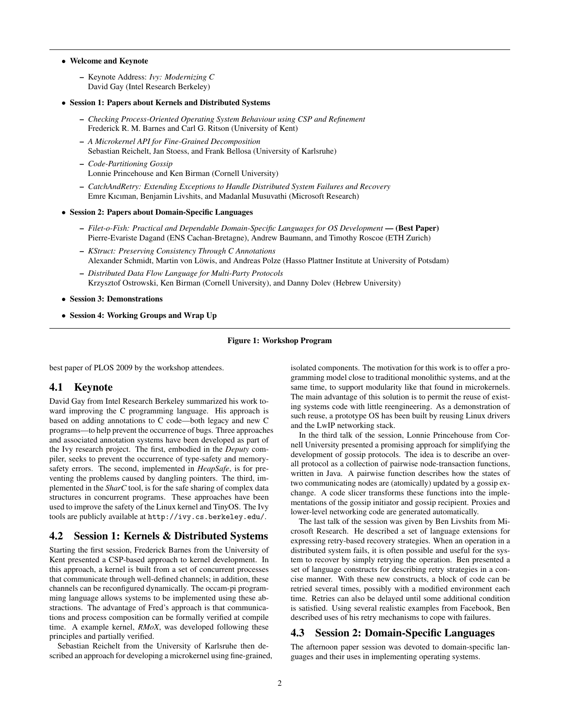• Welcome and Keynote

– Keynote Address: *Ivy: Modernizing C* David Gay (Intel Research Berkeley)

- Session 1: Papers about Kernels and Distributed Systems
	- *Checking Process-Oriented Operating System Behaviour using CSP and Refinement* Frederick R. M. Barnes and Carl G. Ritson (University of Kent)
	- *A Microkernel API for Fine-Grained Decomposition* Sebastian Reichelt, Jan Stoess, and Frank Bellosa (University of Karlsruhe)
	- *Code-Partitioning Gossip* Lonnie Princehouse and Ken Birman (Cornell University)
	- *CatchAndRetry: Extending Exceptions to Handle Distributed System Failures and Recovery* Emre Kıcıman, Benjamin Livshits, and Madanlal Musuvathi (Microsoft Research)
- Session 2: Papers about Domain-Specific Languages
	- *Filet-o-Fish: Practical and Dependable Domain-Specific Languages for OS Development* (Best Paper) Pierre-Evariste Dagand (ENS Cachan-Bretagne), Andrew Baumann, and Timothy Roscoe (ETH Zurich)
	- *KStruct: Preserving Consistency Through C Annotations* Alexander Schmidt, Martin von Löwis, and Andreas Polze (Hasso Plattner Institute at University of Potsdam)
	- *Distributed Data Flow Language for Multi-Party Protocols* Krzysztof Ostrowski, Ken Birman (Cornell University), and Danny Dolev (Hebrew University)
- Session 3: Demonstrations
- Session 4: Working Groups and Wrap Up

#### Figure 1: Workshop Program

best paper of PLOS 2009 by the workshop attendees.

#### 4.1 Keynote

David Gay from Intel Research Berkeley summarized his work toward improving the C programming language. His approach is based on adding annotations to C code—both legacy and new C programs—to help prevent the occurrence of bugs. Three approaches and associated annotation systems have been developed as part of the Ivy research project. The first, embodied in the *Deputy* compiler, seeks to prevent the occurrence of type-safety and memorysafety errors. The second, implemented in *HeapSafe*, is for preventing the problems caused by dangling pointers. The third, implemented in the *SharC* tool, is for the safe sharing of complex data structures in concurrent programs. These approaches have been used to improve the safety of the Linux kernel and TinyOS. The Ivy tools are publicly available at http://ivy.cs.berkeley.edu/.

#### 4.2 Session 1: Kernels & Distributed Systems

Starting the first session, Frederick Barnes from the University of Kent presented a CSP-based approach to kernel development. In this approach, a kernel is built from a set of concurrent processes that communicate through well-defined channels; in addition, these channels can be reconfigured dynamically. The occam-pi programming language allows systems to be implemented using these abstractions. The advantage of Fred's approach is that communications and process composition can be formally verified at compile time. A example kernel, *RMoX*, was developed following these principles and partially verified.

Sebastian Reichelt from the University of Karlsruhe then described an approach for developing a microkernel using fine-grained, isolated components. The motivation for this work is to offer a programming model close to traditional monolithic systems, and at the same time, to support modularity like that found in microkernels. The main advantage of this solution is to permit the reuse of existing systems code with little reengineering. As a demonstration of such reuse, a prototype OS has been built by reusing Linux drivers and the LwIP networking stack.

In the third talk of the session, Lonnie Princehouse from Cornell University presented a promising approach for simplifying the development of gossip protocols. The idea is to describe an overall protocol as a collection of pairwise node-transaction functions, written in Java. A pairwise function describes how the states of two communicating nodes are (atomically) updated by a gossip exchange. A code slicer transforms these functions into the implementations of the gossip initiator and gossip recipient. Proxies and lower-level networking code are generated automatically.

The last talk of the session was given by Ben Livshits from Microsoft Research. He described a set of language extensions for expressing retry-based recovery strategies. When an operation in a distributed system fails, it is often possible and useful for the system to recover by simply retrying the operation. Ben presented a set of language constructs for describing retry strategies in a concise manner. With these new constructs, a block of code can be retried several times, possibly with a modified environment each time. Retries can also be delayed until some additional condition is satisfied. Using several realistic examples from Facebook, Ben described uses of his retry mechanisms to cope with failures.

#### 4.3 Session 2: Domain-Specific Languages

The afternoon paper session was devoted to domain-specific languages and their uses in implementing operating systems.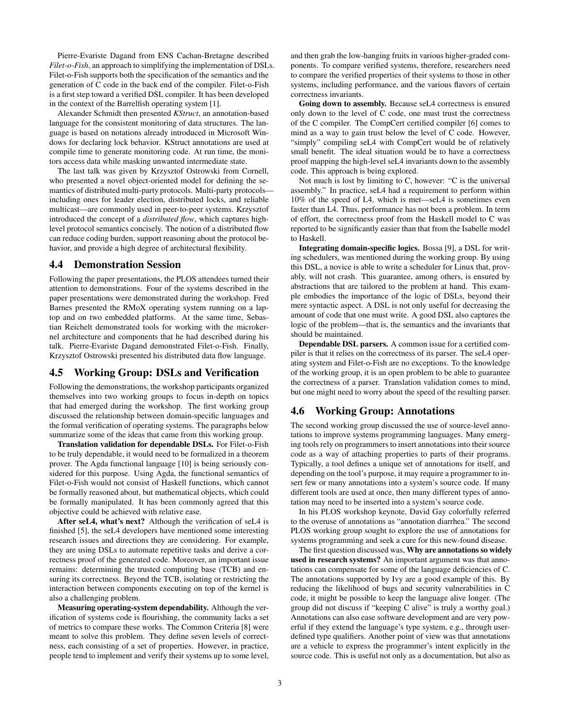Pierre-Evariste Dagand from ENS Cachan-Bretagne described *Filet-o-Fish*, an approach to simplifying the implementation of DSLs. Filet-o-Fish supports both the specification of the semantics and the generation of C code in the back end of the compiler. Filet-o-Fish is a first step toward a verified DSL compiler. It has been developed in the context of the Barrelfish operating system [1].

Alexander Schmidt then presented *KStruct*, an annotation-based language for the consistent monitoring of data structures. The language is based on notations already introduced in Microsoft Windows for declaring lock behavior. KStruct annotations are used at compile time to generate monitoring code. At run time, the monitors access data while masking unwanted intermediate state.

The last talk was given by Krzysztof Ostrowski from Cornell, who presented a novel object-oriented model for defining the semantics of distributed multi-party protocols. Multi-party protocols including ones for leader election, distributed locks, and reliable multicast—are commonly used in peer-to-peer systems. Krzysztof introduced the concept of a *distributed flow*, which captures highlevel protocol semantics concisely. The notion of a distributed flow can reduce coding burden, support reasoning about the protocol behavior, and provide a high degree of architectural flexibility.

#### 4.4 Demonstration Session

Following the paper presentations, the PLOS attendees turned their attention to demonstrations. Four of the systems described in the paper presentations were demonstrated during the workshop. Fred Barnes presented the RMoX operating system running on a laptop and on two embedded platforms. At the same time, Sebastian Reichelt demonstrated tools for working with the microkernel architecture and components that he had described during his talk. Pierre-Evariste Dagand demonstrated Filet-o-Fish. Finally, Krzysztof Ostrowski presented his distributed data flow language.

#### 4.5 Working Group: DSLs and Verification

Following the demonstrations, the workshop participants organized themselves into two working groups to focus in-depth on topics that had emerged during the workshop. The first working group discussed the relationship between domain-specific languages and the formal verification of operating systems. The paragraphs below summarize some of the ideas that came from this working group.

Translation validation for dependable DSLs. For Filet-o-Fish to be truly dependable, it would need to be formalized in a theorem prover. The Agda functional language [10] is being seriously considered for this purpose. Using Agda, the functional semantics of Filet-o-Fish would not consist of Haskell functions, which cannot be formally reasoned about, but mathematical objects, which could be formally manipulated. It has been commonly agreed that this objective could be achieved with relative ease.

After seL4, what's next? Although the verification of seL4 is finished [5], the seL4 developers have mentioned some interesting research issues and directions they are considering. For example, they are using DSLs to automate repetitive tasks and derive a correctness proof of the generated code. Moreover, an important issue remains: determining the trusted computing base (TCB) and ensuring its correctness. Beyond the TCB, isolating or restricting the interaction between components executing on top of the kernel is also a challenging problem.

Measuring operating-system dependability. Although the verification of systems code is flourishing, the community lacks a set of metrics to compare these works. The Common Criteria [8] were meant to solve this problem. They define seven levels of correctness, each consisting of a set of properties. However, in practice, people tend to implement and verify their systems up to some level, and then grab the low-hanging fruits in various higher-graded components. To compare verified systems, therefore, researchers need to compare the verified properties of their systems to those in other systems, including performance, and the various flavors of certain correctness invariants.

Going down to assembly. Because seL4 correctness is ensured only down to the level of C code, one must trust the correctness of the C compiler. The CompCert certified compiler [6] comes to mind as a way to gain trust below the level of C code. However, "simply" compiling seL4 with CompCert would be of relatively small benefit. The ideal situation would be to have a correctness proof mapping the high-level seL4 invariants down to the assembly code. This approach is being explored.

Not much is lost by limiting to C, however: "C is the universal assembly." In practice, seL4 had a requirement to perform within 10% of the speed of L4, which is met—seL4 is sometimes even faster than L4. Thus, performance has not been a problem. In term of effort, the correctness proof from the Haskell model to C was reported to be significantly easier than that from the Isabelle model to Haskell.

Integrating domain-specific logics. Bossa [9], a DSL for writing schedulers, was mentioned during the working group. By using this DSL, a novice is able to write a scheduler for Linux that, provably, will not crash. This guarantee, among others, is ensured by abstractions that are tailored to the problem at hand. This example embodies the importance of the logic of DSLs, beyond their mere syntactic aspect. A DSL is not only useful for decreasing the amount of code that one must write. A good DSL also captures the logic of the problem—that is, the semantics and the invariants that should be maintained.

Dependable DSL parsers. A common issue for a certified compiler is that it relies on the correctness of its parser. The seL4 operating system and Filet-o-Fish are no exceptions. To the knowledge of the working group, it is an open problem to be able to guarantee the correctness of a parser. Translation validation comes to mind, but one might need to worry about the speed of the resulting parser.

#### 4.6 Working Group: Annotations

The second working group discussed the use of source-level annotations to improve systems programming languages. Many emerging tools rely on programmers to insert annotations into their source code as a way of attaching properties to parts of their programs. Typically, a tool defines a unique set of annotations for itself, and depending on the tool's purpose, it may require a programmer to insert few or many annotations into a system's source code. If many different tools are used at once, then many different types of annotation may need to be inserted into a system's source code.

In his PLOS workshop keynote, David Gay colorfully referred to the overuse of annotations as "annotation diarrhea." The second PLOS working group sought to explore the use of annotations for systems programming and seek a cure for this new-found disease.

The first question discussed was, Why are annotations so widely used in research systems? An important argument was that annotations can compensate for some of the language deficiencies of C. The annotations supported by Ivy are a good example of this. By reducing the likelihood of bugs and security vulnerabilities in C code, it might be possible to keep the language alive longer. (The group did not discuss if "keeping C alive" is truly a worthy goal.) Annotations can also ease software development and are very powerful if they extend the language's type system, e.g., through userdefined type qualifiers. Another point of view was that annotations are a vehicle to express the programmer's intent explicitly in the source code. This is useful not only as a documentation, but also as